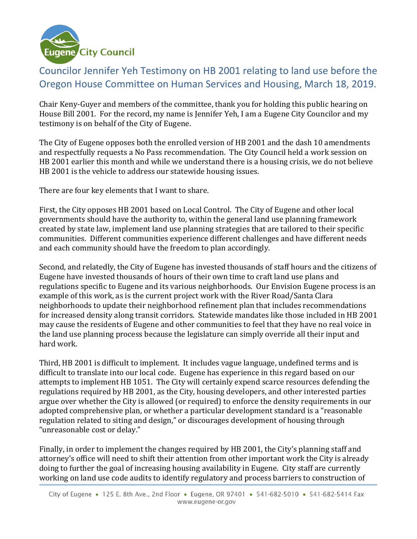

## Councilor Jennifer Yeh Testimony on HB 2001 relating to land use before the Oregon House Committee on Human Services and Housing, March 18, 2019.

Chair Keny-Guyer and members of the committee, thank you for holding this public hearing on House Bill 2001. For the record, my name is Jennifer Yeh, I am a Eugene City Councilor and my testimony is on behalf of the City of Eugene.

The City of Eugene opposes both the enrolled version of HB 2001 and the dash 10 amendments and respectfully requests a No Pass recommendation. The City Council held a work session on HB 2001 earlier this month and while we understand there is a housing crisis, we do not believe HB 2001 is the vehicle to address our statewide housing issues.

There are four key elements that I want to share.

First, the City opposes HB 2001 based on Local Control. The City of Eugene and other local governments should have the authority to, within the general land use planning framework created by state law, implement land use planning strategies that are tailored to their specific communities. Different communities experience different challenges and have different needs and each community should have the freedom to plan accordingly.

Second, and relatedly, the City of Eugene has invested thousands of staff hours and the citizens of Eugene have invested thousands of hours of their own time to craft land use plans and regulations specific to Eugene and its various neighborhoods. Our Envision Eugene process is an example of this work, as is the current project work with the River Road/Santa Clara neighborhoods to update their neighborhood refinement plan that includes recommendations for increased density along transit corridors. Statewide mandates like those included in HB 2001 may cause the residents of Eugene and other communities to feel that they have no real voice in the land use planning process because the legislature can simply override all their input and hard work.

Third, HB 2001 is difficult to implement. It includes vague language, undefined terms and is difficult to translate into our local code. Eugene has experience in this regard based on our attempts to implement HB 1051. The City will certainly expend scarce resources defending the regulations required by HB 2001, as the City, housing developers, and other interested parties argue over whether the City is allowed (or required) to enforce the density requirements in our adopted comprehensive plan, or whether a particular development standard is a "reasonable regulation related to siting and design," or discourages development of housing through "unreasonable cost or delay."

Finally, in order to implement the changes required by HB 2001, the City's planning staff and attorney's office will need to shift their attention from other important work the City is already doing to further the goal of increasing housing availability in Eugene. City staff are currently working on land use code audits to identify regulatory and process barriers to construction of